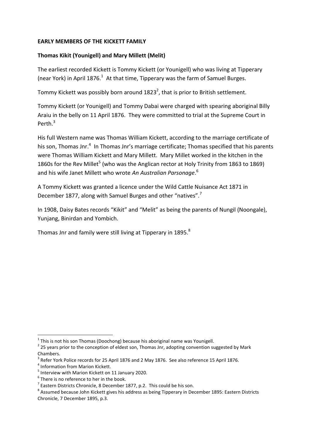# **EARLY MEMBERS OF THE KICKETT FAMILY**

# **Thomas Kikit (Younigell) and Mary Millett (Melit)**

The earliest recorded Kickett is Tommy Kickett (or Younigell) who was living at Tipperary (near York) in April 1876. $^1$  At that time, Tipperary was the farm of Samuel Burges.

Tommy Kickett was possibly born around 1823<sup>2</sup>, that is prior to British settlement.

Tommy Kickett (or Younigell) and Tommy Dabai were charged with spearing aboriginal Billy Araiu in the belly on 11 April 1876. They were committed to trial at the Supreme Court in Perth.<sup>3</sup>

His full Western name was Thomas William Kickett, according to the marriage certificate of his son, Thomas Jnr.<sup>4</sup> In Thomas Jnr's marriage certificate; Thomas specified that his parents were Thomas William Kickett and Mary Millett. Mary Millet worked in the kitchen in the 1860s for the Rev Millet<sup>5</sup> (who was the Anglican rector at Holy Trinity from 1863 to 1869) and his wife Janet Millett who wrote *An Australian Parsonage*. 6

A Tommy Kickett was granted a licence under the Wild Cattle Nuisance Act 1871 in December 1877, along with Samuel Burges and other "natives".<sup>7</sup>

In 1908, Daisy Bates records "Kikit" and "Melit" as being the parents of Nungil (Noongale), Yunjang, Binirdan and Yombich.

Thomas Jnr and family were still living at Tipperary in 1895.<sup>8</sup>

 1 This is not his son Thomas (Doochong) because his aboriginal name was Younigell.

 $2$  25 years prior to the conception of eldest son, Thomas Jnr, adopting convention suggested by Mark Chambers.

<sup>3</sup> Refer York Police records for 25 April 1876 and 2 May 1876. See also reference 15 April 1876.

<sup>4</sup> Information from Marion Kickett.

<sup>5</sup> Interview with Marion Kickett on 11 January 2020.

 $6$  There is no reference to her in the book.

 $^7$  Eastern Districts Chronicle, 8 December 1877, p.2. This could be his son.

<sup>&</sup>lt;sup>8</sup> Assumed because John Kickett gives his address as being Tipperary in December 1895: Eastern Districts Chronicle, 7 December 1895, p.3.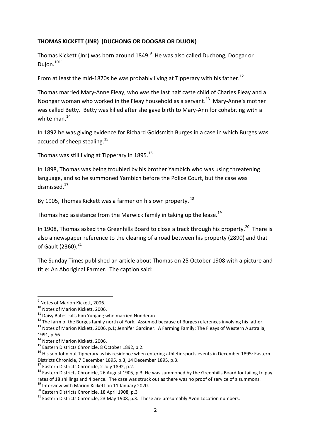## **THOMAS KICKETT (JNR) (DUCHONG OR DOOGAR OR DUJON)**

Thomas Kickett (Jnr) was born around 1849.<sup>9</sup> He was also called Duchong, Doogar or Dujon.<sup>1011</sup>

From at least the mid-1870s he was probably living at Tipperary with his father.<sup>12</sup>

Thomas married Mary-Anne Fleay, who was the last half caste child of Charles Fleay and a Noongar woman who worked in the Fleay household as a servant. 13 Mary-Anne's mother was called Betty. Betty was killed after she gave birth to Mary-Ann for cohabiting with a white man.<sup>14</sup>

In 1892 he was giving evidence for Richard Goldsmith Burges in a case in which Burges was accused of sheep stealing.<sup>15</sup>

Thomas was still living at Tipperary in 1895.<sup>16</sup>

In 1898, Thomas was being troubled by his brother Yambich who was using threatening language, and so he summoned Yambich before the Police Court, but the case was dismissed.<sup>17</sup>

By 1905, Thomas Kickett was a farmer on his own property. <sup>18</sup>

Thomas had assistance from the Marwick family in taking up the lease.<sup>19</sup>

In 1908, Thomas asked the Greenhills Board to close a track through his property.<sup>20</sup> There is also a newspaper reference to the clearing of a road between his property (2890) and that of Gault (2360).<sup>21</sup>

The Sunday Times published an article about Thomas on 25 October 1908 with a picture and title: An Aboriginal Farmer. The caption said:

 9 Notes of Marion Kickett, 2006.

<sup>10</sup> Notes of Marion Kickett, 2006.

 $11$  Daisy Bates calls him Yunjang who married Nunderan.

<sup>&</sup>lt;sup>12</sup> The farm of the Burges family north of York. Assumed because of Burges references involving his father.

<sup>&</sup>lt;sup>13</sup> Notes of Marion Kickett, 2006, p.1; Jennifer Gardiner: A Farming Family: The Fleays of Western Australia, 1991, p.56.

<sup>&</sup>lt;sup>14</sup> Notes of Marion Kickett, 2006.

<sup>&</sup>lt;sup>15</sup> Eastern Districts Chronicle, 8 October 1892, p.2.

<sup>&</sup>lt;sup>16</sup> His son John put Tipperary as his residence when entering athletic sports events in December 1895: Eastern Districts Chronicle, 7 December 1895, p.3, 14 December 1895, p.3.

<sup>&</sup>lt;sup>17</sup> Eastern Districts Chronicle, 2 July 1892, p.2.

<sup>&</sup>lt;sup>18</sup> Eastern Districts Chronicle, 26 August 1905, p.3. He was summoned by the Greenhills Board for failing to pay rates of 18 shillings and 4 pence. The case was struck out as there was no proof of service of a summons.

<sup>&</sup>lt;sup>19</sup> Interview with Marion Kickett on 11 January 2020.

<sup>20</sup> Eastern Districts Chronicle, 18 April 1908, p.3

 $21$  Eastern Districts Chronicle. 23 May 1908, p.3. These are presumably Avon Location numbers.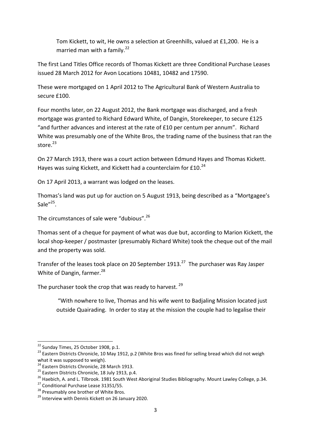Tom Kickett, to wit, He owns a selection at Greenhills, valued at £1,200. He is a married man with a family.<sup>22</sup>

The first Land Titles Office records of Thomas Kickett are three Conditional Purchase Leases issued 28 March 2012 for Avon Locations 10481, 10482 and 17590.

These were mortgaged on 1 April 2012 to The Agricultural Bank of Western Australia to secure £100.

Four months later, on 22 August 2012, the Bank mortgage was discharged, and a fresh mortgage was granted to Richard Edward White, of Dangin, Storekeeper, to secure £125 "and further advances and interest at the rate of £10 per centum per annum". Richard White was presumably one of the White Bros, the trading name of the business that ran the store. 23

On 27 March 1913, there was a court action between Edmund Hayes and Thomas Kickett. Hayes was suing Kickett, and Kickett had a counterclaim for £10.<sup>24</sup>

On 17 April 2013, a warrant was lodged on the leases.

Thomas's land was put up for auction on 5 August 1913, being described as a "Mortgagee's Sale"<sup>25</sup>.

The circumstances of sale were "dubious".<sup>26</sup>

Thomas sent of a cheque for payment of what was due but, according to Marion Kickett, the local shop-keeper / postmaster (presumably Richard White) took the cheque out of the mail and the property was sold.

Transfer of the leases took place on 20 September 1913.<sup>27</sup> The purchaser was Ray Jasper White of Dangin, farmer.<sup>28</sup>

The purchaser took the crop that was ready to harvest.  $29$ 

"With nowhere to live, Thomas and his wife went to Badjaling Mission located just outside Quairading. In order to stay at the mission the couple had to legalise their

1

<sup>&</sup>lt;sup>22</sup> Sunday Times, 25 October 1908, p.1.

<sup>&</sup>lt;sup>23</sup> Eastern Districts Chronicle, 10 May 1912, p.2 (White Bros was fined for selling bread which did not weigh what it was supposed to weigh).

<sup>&</sup>lt;sup>24</sup> Eastern Districts Chronicle, 28 March 1913.

 $25$  Eastern Districts Chronicle, 18 July 1913, p.4.

<sup>&</sup>lt;sup>26</sup> Haebich, A. and L. Tilbrook. 1981 South West Aboriginal Studies Bibliography. Mount Lawley College, p.34.

<sup>&</sup>lt;sup>27</sup> Conditional Purchase Lease 31351/55.

<sup>&</sup>lt;sup>28</sup> Presumably one brother of White Bros.

<sup>&</sup>lt;sup>29</sup> Interview with Dennis Kickett on 26 January 2020.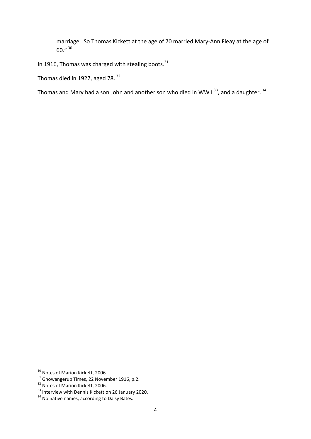marriage. So Thomas Kickett at the age of 70 married Mary-Ann Fleay at the age of  $60.$ "  $30$ 

In 1916, Thomas was charged with stealing boots. $31$ 

Thomas died in 1927, aged 78. <sup>32</sup>

Thomas and Mary had a son John and another son who died in WW I<sup>33</sup>, and a daughter.<sup>34</sup>

 $\overline{a}$ 

<sup>&</sup>lt;sup>30</sup> Notes of Marion Kickett, 2006.

 $31$  Gnowangerup Times, 22 November 1916, p.2.

<sup>&</sup>lt;sup>32</sup> Notes of Marion Kickett, 2006.

<sup>&</sup>lt;sup>33</sup> Interview with Dennis Kickett on 26 January 2020.

<sup>34</sup> No native names, according to Daisy Bates.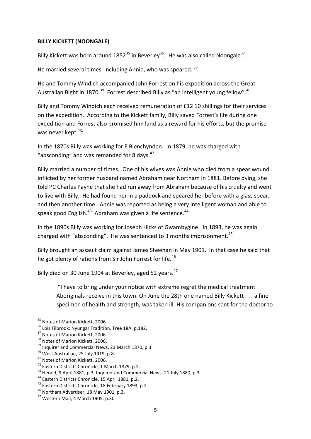## **BILLY KICKETT (NOONGALE)**

Billy Kickett was born around  $1852^{35}$  in Beverley<sup>36</sup>. He was also called Noongale<sup>37</sup>.

He married several times, including Annie, who was speared.<sup>38</sup>

He and Tommy Windich accompanied John Forrest on his expedition across the Great Australian Bight in 1870.<sup>39</sup> Forrest described Billy as "an intelligent young fellow".<sup>40</sup>

Billy and Tommy Windich each received remuneration of £12 10 shillings for their services on the expedition. According to the Kickett family, Billy saved Forrest's life during one expedition and Forrest also promised him land as a reward for his efforts, but the promise was never kept.  $41$ 

In the 1870s Billy was working for E Blenchynden. In 1879, he was charged with "absconding" and was remanded for 8 days. $42$ 

Billy married a number of times. One of his wives was Annie who died from a spear wound inflicted by her former husband named Abraham near Northam in 1881. Before dying, she told PC Charles Payne that she had run away from Abraham because of his cruelty and went to live with Billy. He had found her in a paddock and speared her before with a glass spear, and then another time. Annie was reported as being a very intelligent woman and able to speak good English.<sup>43</sup> Abraham was given a life sentence.<sup>44</sup>

In the 1890s Billy was working for Joseph Hicks of Gwambygine. In 1893, he was again charged with "absconding". He was sentenced to 3 months imprisonment.<sup>45</sup>

Billy brought an assault claim against James Sheehan in May 1901. In that case he said that he got plenty of rations from Sir John Forrest for life.<sup>46</sup>

Billy died on 30 June 1904 at Beverley, aged 52 years.<sup>47</sup>

"I have to bring under your notice with extreme regret the medical treatment Aboriginals receive in this town. On June the 28th one named Billy Kickett . . . a fine specimen of health and strength, was taken ill. His companions sent for the doctor to

<sup>1</sup> <sup>35</sup> Notes of Marion Kickett, 2006.

<sup>&</sup>lt;sup>36</sup> Lois Tilbrook: Nyungar Tradition, Tree 18A, p.182.

<sup>&</sup>lt;sup>37</sup> Notes of Marion Kickett, 2006.

<sup>&</sup>lt;sup>38</sup> Notes of Marion Kickett, 2006.

<sup>&</sup>lt;sup>39</sup> Inquirer and Commercial News, 23 March 1870, p.3.

<sup>40</sup> West Australian, 25 July 1919, p.8.

<sup>41</sup> Notes of Marion Kickett, 2006.

<sup>42</sup> Eastern Districts Chronicle, 1 March 1879, p.2.

<sup>&</sup>lt;sup>43</sup> Herald, 9 April 1881, p.3; Inquirer and Commercial News, 21 July 1880, p.3.

<sup>44</sup> Eastern Districts Chronicle, 15 April 1881, p.2.

<sup>&</sup>lt;sup>45</sup> Eastern Districts Chronicle, 18 February 1893, p.2.

<sup>46</sup> Northam Advertiser, 18 May 1901, p.3.

<sup>47</sup> Western Mail, 4 March 1905, p.30.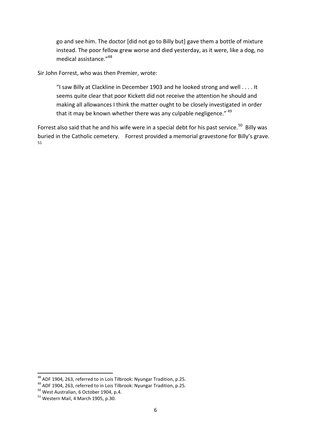go and see him. The doctor [did not go to Billy but] gave them a bottle of mixture instead. The poor fellow grew worse and died yesterday, as it were, like a dog, no medical assistance."<sup>48</sup>

Sir John Forrest, who was then Premier, wrote:

"I saw Billy at Clackline in December 1903 and he looked strong and well . . . . It seems quite clear that poor Kickett did not receive the attention he should and making all allowances I think the matter ought to be closely investigated in order that it may be known whether there was any culpable negligence." <sup>49</sup>

Forrest also said that he and his wife were in a special debt for his past service.<sup>50</sup> Billy was buried in the Catholic cemetery. Forrest provided a memorial gravestone for Billy's grave. 51

**.** 

 $^{48}$  ADF 1904, 263, referred to in Lois Tilbrook: Nyungar Tradition, p.25.

<sup>49</sup> ADF 1904, 263, referred to in Lois Tilbrook: Nyungar Tradition, p.25.

<sup>50</sup> West Australian, 6 October 1904, p.4.

 $51$  Western Mail, 4 March 1905, p.30.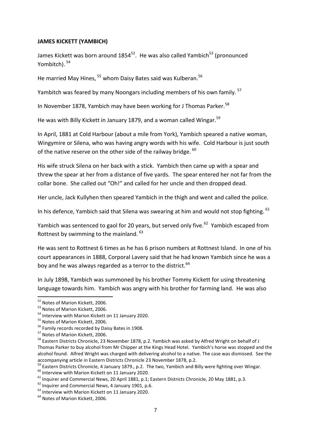### **JAMES KICKETT (YAMBICH)**

James Kickett was born around  $1854^{52}$ . He was also called Yambich<sup>53</sup> (pronounced Yombitch). 54

He married May Hines, <sup>55</sup> whom Daisy Bates said was Kulberan.<sup>56</sup>

Yambitch was feared by many Noongars including members of his own family.<sup>57</sup>

In November 1878, Yambich may have been working for J Thomas Parker.<sup>58</sup>

He was with Billy Kickett in January 1879, and a woman called Wingar.<sup>59</sup>

In April, 1881 at Cold Harbour (about a mile from York), Yambich speared a native woman, Wingymire or Silena, who was having angry words with his wife. Cold Harbour is just south of the native reserve on the other side of the railway bridge. <sup>60</sup>

His wife struck Silena on her back with a stick. Yambich then came up with a spear and threw the spear at her from a distance of five yards. The spear entered her not far from the collar bone. She called out "Oh!" and called for her uncle and then dropped dead.

Her uncle, Jack Kullyhen then speared Yambich in the thigh and went and called the police.

In his defence, Yambich said that Silena was swearing at him and would not stop fighting.  $61$ 

Yambich was sentenced to gaol for 20 years, but served only five.<sup>62</sup> Yambich escaped from Rottnest by swimming to the mainland.  $63$ 

He was sent to Rottnest 6 times as he has 6 prison numbers at Rottnest Island. In one of his court appearances in 1888, Corporal Lavery said that he had known Yambich since he was a boy and he was always regarded as a terror to the district.  $64$ 

In July 1898, Yambich was summoned by his brother Tommy Kickett for using threatening language towards him. Yambich was angry with his brother for farming land. He was also

1

<sup>&</sup>lt;sup>52</sup> Notes of Marion Kickett, 2006.

<sup>53</sup> Notes of Marion Kickett, 2006.

<sup>&</sup>lt;sup>54</sup> Interview with Marion Kickett on 11 January 2020.

<sup>55</sup> Notes of Marion Kickett, 2006.

<sup>&</sup>lt;sup>56</sup> Family records recorded by Daisy Bates in 1908.

<sup>57</sup> Notes of Marion Kickett, 2006.

<sup>58</sup> Eastern Districts Chronicle, 23 November 1878, p.2. Yambich was asked by Alfred Wright on behalf of J Thomas Parker to buy alcohol from Mr Chipper at the Kings Head Hotel. Yambich's horse was stopped and the alcohol found. Alfred Wright was charged with delivering alcohol to a native. The case was dismissed. See the accompanying article in Eastern Districts Chronicle 23 November 1878, p.2.

<sup>&</sup>lt;sup>59</sup> Eastern Districts Chronicle, 4 January 1879., p.2. The two, Yambich and Billy were fighting over Wingar.

<sup>60</sup> Interview with Marion Kickett on 11 January 2020.

<sup>&</sup>lt;sup>61</sup> Inquirer and Commercial News, 20 April 1881, p.1; Eastern Districts Chronicle, 20 May 1881, p.3.

<sup>&</sup>lt;sup>62</sup> Inquirer and Commercial News, 4 January 1901, p.6.

<sup>&</sup>lt;sup>63</sup> Interview with Marion Kickett on 11 January 2020.

<sup>&</sup>lt;sup>64</sup> Notes of Marion Kickett, 2006.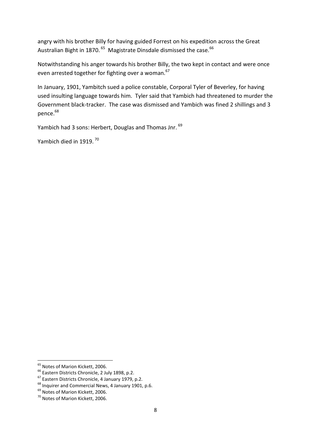angry with his brother Billy for having guided Forrest on his expedition across the Great Australian Bight in 1870. <sup>65</sup> Magistrate Dinsdale dismissed the case. <sup>66</sup>

Notwithstanding his anger towards his brother Billy, the two kept in contact and were once even arrested together for fighting over a woman.<sup>67</sup>

In January, 1901, Yambitch sued a police constable, Corporal Tyler of Beverley, for having used insulting language towards him. Tyler said that Yambich had threatened to murder the Government black-tracker. The case was dismissed and Yambich was fined 2 shillings and 3 pence.<sup>68</sup>

Yambich had 3 sons: Herbert, Douglas and Thomas Jnr. <sup>69</sup>

Yambich died in 1919.<sup>70</sup>

**<sup>.</sup>** <sup>65</sup> Notes of Marion Kickett, 2006.

<sup>&</sup>lt;sup>66</sup> Eastern Districts Chronicle, 2 July 1898, p.2.

<sup>67</sup> Eastern Districts Chronicle, 4 January 1979, p.2.

<sup>&</sup>lt;sup>68</sup> Inquirer and Commercial News, 4 January 1901, p.6.

<sup>69</sup> Notes of Marion Kickett, 2006.

<sup>70</sup> Notes of Marion Kickett, 2006.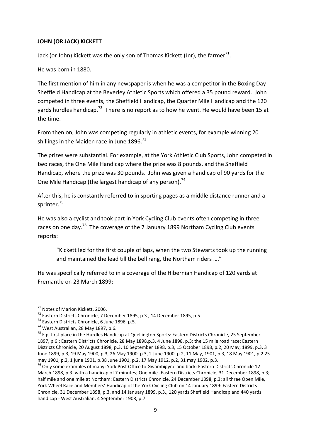# **JOHN (OR JACK) KICKETT**

Jack (or John) Kickett was the only son of Thomas Kickett (Jnr), the farmer<sup>71</sup>.

He was born in 1880.

The first mention of him in any newspaper is when he was a competitor in the Boxing Day Sheffield Handicap at the Beverley Athletic Sports which offered a 35 pound reward. John competed in three events, the Sheffield Handicap, the Quarter Mile Handicap and the 120 yards hurdles handicap.<sup>72</sup> There is no report as to how he went. He would have been 15 at the time.

From then on, John was competing regularly in athletic events, for example winning 20 shillings in the Maiden race in June  $1896.<sup>73</sup>$ 

The prizes were substantial. For example, at the York Athletic Club Sports, John competed in two races, the One Mile Handicap where the prize was 8 pounds, and the Sheffield Handicap, where the prize was 30 pounds. John was given a handicap of 90 yards for the One Mile Handicap (the largest handicap of any person).<sup>74</sup>

After this, he is constantly referred to in sporting pages as a middle distance runner and a sprinter.<sup>75</sup>

He was also a cyclist and took part in York Cycling Club events often competing in three races on one day.<sup>76</sup> The coverage of the 7 January 1899 Northam Cycling Club events reports:

"Kickett led for the first couple of laps, when the two Stewarts took up the running and maintained the lead till the bell rang, the Northam riders …."

He was specifically referred to in a coverage of the Hibernian Handicap of 120 yards at Fremantle on 23 March 1899:

**.** 

<sup>&</sup>lt;sup>71</sup> Notes of Marion Kickett, 2006.

<sup>72</sup> Eastern Districts Chronicle, 7 December 1895, p.3., 14 December 1895, p.5.

<sup>73</sup> Eastern Districts Chronicle, 6 June 1896, p.5.

<sup>&</sup>lt;sup>74</sup> West Australian, 28 May 1897, p.6.

<sup>&</sup>lt;sup>75</sup> E.g. first place in the Hurdles Handicap at Quellington Sports: Eastern Districts Chronicle, 25 September 1897, p.6.; Eastern Districts Chronicle, 28 May 1898,p.3, 4 June 1898, p.3; the 15 mile road race: Eastern Districts Chronicle, 20 August 1898, p.3, 10 September 1898, p.3, 15 October 1898, p.2, 20 May, 1899, p.3, 3 June 1899, p.3, 19 May 1900, p.3, 26 May 1900, p.3, 2 June 1900, p.2, 11 May, 1901, p.3, 18 May 1901, p.2 25 may 1901, p.2, 1 june 1901, p.38 June 1901, p.2, 17 May 1912, p.2, 31 may 1902, p.3.

 $76$  Only some examples of many: York Post Office to Gwambigyne and back: Eastern Districts Chronicle 12 March 1898, p.3. with a handicap of 7 minutes; One mile -Eastern Districts Chronicle, 31 December 1898, p.3; half mile and one mile at Northam: Eastern Districts Chronicle, 24 December 1898, p.3; all three Open Mile, York Wheel Race and Members' Handicap of the York Cycling Club on 14 January 1899: Eastern Districts Chronicle, 31 December 1898, p.3. and 14 January 1899, p.3., 120 yards Sheffield Handicap and 440 yards handicap - West Australian, 4 September 1908, p.7.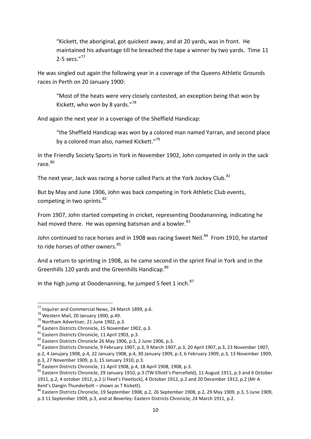"Kickett, the aboriginal, got quickest away, and at 20 yards, was in front. He maintained his advantage till he breached the tape a winner by two yards. Time 11 2-5 secs."<sup>77</sup>

He was singled out again the following year in a coverage of the Queens Athletic Grounds races in Perth on 20 January 1900:

"Most of the heats were very closely contested, an exception being that won by Kickett, who won by 8 yards."<sup>78</sup>

And again the next year in a coverage of the Sheffield Handicap:

"the Sheffield Handicap was won by a colored man named Yarran, and second place by a colored man also, named Kickett."<sup>79</sup>

In the Friendly Society Sports in York in November 1902, John competed in only in the sack race.<sup>80</sup>

The next year, Jack was racing a horse called Paris at the York Jockey Club.<sup>81</sup>

But by May and June 1906, John was back competing in York Athletic Club events, competing in two sprints. $82$ 

From 1907, John started competing in cricket, representing Doodananning, indicating he had moved there. He was opening batsman and a bowler.<sup>83</sup>

John continued to race horses and in 1908 was racing Sweet Neil.<sup>84</sup> From 1910, he started to ride horses of other owners.<sup>85</sup>

And a return to sprinting in 1908, as he came second in the sprint final in York and in the Greenhills 120 yards and the Greenhills Handicap.<sup>86</sup>

In the high jump at Doodenanning, he jumped 5 feet 1 inch. $87$ 

**.** 

<sup>77</sup> Inquirer and Commercial News, 24 March 1899, p.6.

 $78$  Western Mail, 20 January 1900, p.49.

<sup>79</sup> Northam Advertiser, 21 June 1902, p.3.

<sup>80</sup> Eastern Districts Chronicle, 15 November 1902, p.3.

<sup>81</sup> Eastern Districts Chronicle, 11 April 1903, p.3.

 $82$  Eastern Districts Chronicle 26 May 1906, p.3, 2 June 1906, p.3.

<sup>83</sup> Eastern Districts Chronicle, 9 February 1907, p.3, 9 March 1907, p.3, 20 April 1907, p.3, 23 November 1907,

p.2, 4 Janujary 1908, p.4, 22 January 1908, p.4, 30 January 1909, p.3, 6 February 1909, p.3, 13 November 1909, p.3, 27 November 1909, p.3, 15 January 1910, p.3.<br> $^{84}$ 

Eastern Districts Chronicle, 11 April 1908, p.4, 18 April 1908, 1908, p.3.

<sup>&</sup>lt;sup>85</sup> Eastern Districts Chronicle, 29 January 1910, p.3 (TW Elliott's Piercefield), 11 August 1911, p.3 and 6 October 1911, p.2, 4 october 1912, p.2 (J Fleet's Fleetlock), 4 October 1912, p.2 and 20 December 1912, p.2 (Mr A Kent's Dangin Thunderbolt – shown as T Kickett).

<sup>86</sup> Eastern Districts Chronicle, 19 September 1908, p.2, 26 September 1908, p.2, 29 May 1909, p.3, 5 June 1909, p.3 11 September 1909, p.3, and at Beverley: Eastern Districts Chronicle, 24 March 1911, p.2.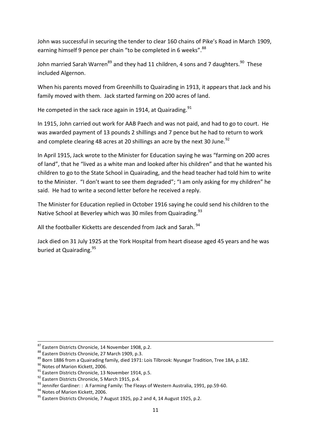John was successful in securing the tender to clear 160 chains of Pike's Road in March 1909, earning himself 9 pence per chain "to be completed in 6 weeks". 88

John married Sarah Warren<sup>89</sup> and they had 11 children, 4 sons and 7 daughters.<sup>90</sup> These included Algernon.

When his parents moved from Greenhills to Quairading in 1913, it appears that Jack and his family moved with them. Jack started farming on 200 acres of land.

He competed in the sack race again in 1914, at Quairading. $91$ 

In 1915, John carried out work for AAB Paech and was not paid, and had to go to court. He was awarded payment of 13 pounds 2 shillings and 7 pence but he had to return to work and complete clearing 48 acres at 20 shillings an acre by the next 30 June.<sup>92</sup>

In April 1915, Jack wrote to the Minister for Education saying he was "farming on 200 acres of land", that he "lived as a white man and looked after his children" and that he wanted his children to go to the State School in Quairading, and the head teacher had told him to write to the Minister. "I don't want to see them degraded"; "I am only asking for my children" he said. He had to write a second letter before he received a reply.

The Minister for Education replied in October 1916 saying he could send his children to the Native School at Beverley which was 30 miles from Quairading.<sup>93</sup>

All the footballer Kicketts are descended from Jack and Sarah. <sup>94</sup>

Jack died on 31 July 1925 at the York Hospital from heart disease aged 45 years and he was buried at Quairading.<sup>95</sup>

1

<sup>87</sup> Eastern Districts Chronicle, 14 November 1908, p.2.

<sup>88</sup> Eastern Districts Chronicle, 27 March 1909, p.3.

<sup>&</sup>lt;sup>89</sup> Born 1886 from a Quairading family, died 1971: Lois Tilbrook: Nyungar Tradition, Tree 18A, p.182.

<sup>90</sup> Notes of Marion Kickett, 2006.

<sup>&</sup>lt;sup>91</sup> Eastern Districts Chronicle, 13 November 1914, p.5.

<sup>92</sup> Eastern Districts Chronicle, 5 March 1915, p.4.

<sup>93</sup> Jennifer Gardiner: : A Farming Family: The Fleays of Western Australia, 1991, pp.59-60.

<sup>94</sup> Notes of Marion Kickett, 2006.

 $95$  Eastern Districts Chronicle, 7 August 1925, pp.2 and 4, 14 August 1925, p.2.